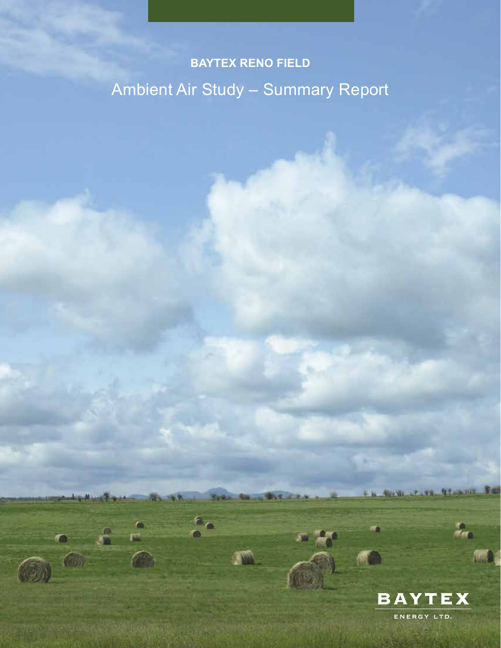# **BAYTEX RENO FIELD** Ambient Air Study – Summary Report

新市

 $\mathbb{R}$ 

**Santa** 

 $e_{\alpha}$ 

**RACING MARIE** 



SUM .- L. P. L. P. L. MIL FOR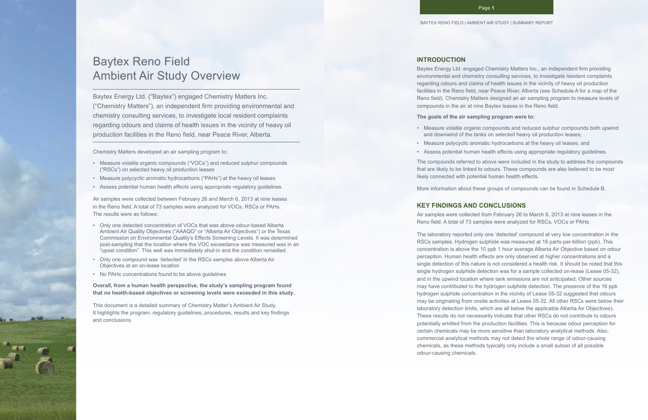# Baytex Reno Field Ambient Air Study Overview

Baytex Energy Ltd. ("Baytex") engaged Chemistry Matters Inc. ("Chemistry Matters"), an independent firm providing environmental and chemistry consulting services, to investigate local resident complaints regarding odours and claims of health issues in the vicinity of heavy oil production facilities in the Reno field, near Peace River, Alberta.

Chemistry Matters developed an air sampling program to:

- Measure volatile organic compounds ("VOCs") and reduced sulphur compounds ("RSCs") on selected heavy oil production leases
- Measure polycyclic aromatic hydrocarbons ("PAHs") at the heavy oil leases
- Assess potential human health effects using appropriate regulatory guidelines

Air samples were collected between February 26 and March 6, 2013 at nine leases in the Reno field. A total of 73 samples were analyzed for VOCs, RSCs or PAHs. The results were as follows:

- Only one detected concentration of VOCs that was above odour-based Alberta Ambient Air Quality Objectives ("AAAQO" or "Alberta Air Objectives") or the Texas Commission on Environmental Quality's Effects Screening Levels. It was determined post-sampling that the location where the VOC exceedance was measured was in an "upset condition". This well was immediately shut-in and the condition remedied.
- Only one compound was 'detected' in the RSCs samples above Alberta Air Objectives at an on-lease location
- No PAHs concentrations found to be above guidelines

**Overall, from a human health perspective, the study's sampling program found that no health-based objectives or screening levels were exceeded in this study.**

This document is a detailed summary of Chemistry Matter's Ambient Air Study. It highlights the program, regulatory guidelines, procedures, results and key findings and conclusions.

### **INTRODUCTION**

Baytex Energy Ltd. engaged Chemistry Matters Inc., an independent firm providing environmental and chemistry consulting services, to investigate resident complaints regarding odours and claims of health issues in the vicinity of heavy oil production facilities in the Reno field, near Peace River, Alberta (see Schedule A for a map of the Reno field). Chemistry Matters designed an air sampling program to measure levels of compounds in the air at nine Baytex leases in the Reno field.

#### **The goals of the air sampling program were to:**

- Measure volatile organic compounds and reduced sulphur compounds both upwind and downwind of the tanks on selected heavy oil production leases;
- Measure polycyclic aromatic hydrocarbons at the heavy oil leases; and
- Assess potential human health effects using appropriate regulatory guidelines.

The compounds referred to above were included in the study to address the compounds that are likely to be linked to odours. These compounds are also believed to be most likely connected with potential human health effects.

More information about these groups of compounds can be found in Schedule B.

## **KEY FINDINGS AND CONCLUSIONS**

Air samples were collected from February 26 to March 6, 2013 at nine leases in the Reno field. A total of 73 samples were analyzed for RSCs, VOCs or PAHs.

The laboratory reported only one 'detected' compound at very low concentration in the RSCs samples. Hydrogen sulphide was measured at 16 parts-per-billion (ppb). This concentration is above the 10 ppb 1 hour average Alberta Air Objective based on odour perception. Human health effects are only observed at higher concentrations and a single detection of this nature is not considered a health risk. It should be noted that this single hydrogen sulphide detection was for a sample collected on-lease (Lease 05-32), and in the upwind location where tank emissions are not anticipated. Other sources may have contributed to the hydrogen sulphide detection. The presence of the 16 ppb hydrogen sulphide concentration in the vicinity of Lease 05-32 suggested that odours may be originating from onsite activities at Lease 05-32. All other RSCs were below their laboratory detection limits, which are all below the applicable Alberta Air Objectives). These results do not necessarily indicate that other RSCs do not contribute to odours potentially emitted from the production facilities. This is because odour perception for certain chemicals may be more sensitive than laboratory analytical methods. Also, commercial analytical methods may not detect the whole range of odour-causing chemicals, as these methods typically only include a small subset of all possible odour-causing chemicals.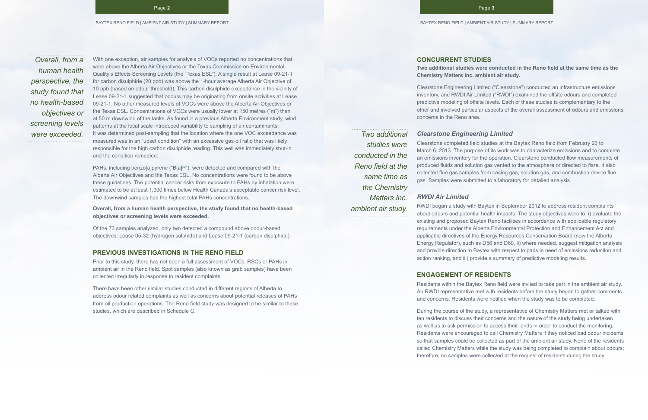With one exception, air samples for analysis of VOCs reported no concentrations that were above the Alberta Air Objectives or the Texas Commission on Environmental Quality's Effects Screening Levels (the "Texas ESL"). A single result at Lease 09-21-1 for carbon disulphide (20 ppb) was above the 1-hour average Alberta Air Objective of 10 ppb (based on odour threshold). This carbon disulphide exceedance in the vicinity of Lease 09-21-1 suggested that odours may be originating from onsite activities at Lease 09-21-1. No other measured levels of VOCs were above the Alberta Air Objectives or the Texas ESL. Concentrations of VOCs were usually lower at 150 metres ("m") than at 50 m downwind of the tanks. As found in a previous Alberta Environment study, wind patterns at the local scale introduced variability to sampling of air contaminants. were exceeded. It was determined post-sampling that the location where the one VOC exceedance was **TWO additional** measured was in an "upset condition" with an excessive gas-oil ratio that was likely responsible for the high carbon disulphide reading. This well was immediately shut-in and the condition remedied.

> PAHs, including benzo[a]pyrene ("B[a]P"), were detected and compared with the Alberta Air Objectives and the Texas ESL. No concentrations were found to be above these guidelines. The potential cancer risks from exposure to PAHs by inhalation were estimated to be at least 1,000 times below Health Canada's acceptable cancer risk level. The downwind samples had the highest total PAHs concentrations.

**Overall, from a human health perspective, the study found that no health-based objectives or screening levels were exceeded.**

Of the 73 samples analyzed, only two detected a compound above odour-based objectives: Lease 05-32 (hydrogen sulphide) and Lease 09-21-1 (carbon disulphide).

#### **PREVIOUS INVESTIGATIONS IN THE RENO FIELD**

Prior to this study, there has not been a full assessment of VOCs, RSCs or PAHs in ambient air in the Reno field. Spot samples (also known as grab samples) have been collected irregularly in response to resident complaints.

There have been other similar studies conducted in different regions of Alberta to address odour related complaints as well as concerns about potential releases of PAHs from oil production operations. The Reno field study was designed to be similar to these studies, which are described in Schedule C.

### **CONCURRENT STUDIES**

**Two additional studies were conducted in the Reno field at the same time as the** 

# **Chemistry Matters Inc. ambient air study.**

Clearstone Engineering Limited ("Clearstone") conducted an infrastructure emissions inventory, and RWDI Air Limited ("RWDI") examined the offsite odours and completed predictive modeling of offsite levels. Each of these studies is complementary to the other and involved particular aspects of the overall assessment of odours and emissions concerns in the Reno area.

### *Clearstone Engineering Limited*

Clearstone completed field studies at the Baytex Reno field from February 26 to March 6, 2013. The purpose of its work was to characterize emissions and to complete an emissions inventory for the operation. Clearstone conducted flow measurements of produced fluids and solution gas vented to the atmosphere or directed to flare. It also collected flue gas samples from casing gas, solution gas, and combustion device flue gas. Samples were submitted to a laboratory for detailed analysis.

#### *RWDI Air Limited*

RWDI began a study with Baytex in September 2012 to address resident complaints about odours and potential health impacts. The study objectives were to: i) evaluate the existing and proposed Baytex Reno facilities in accordance with applicable regulatory requirements under the Alberta Environmental Protection and Enhancement Act and applicable directives of the Energy Resources Conservation Board (now the Alberta Energy Regulator), such as D56 and D60, ii) where needed, suggest mitigation analysis and provide direction to Baytex with respect to pads in need of emissions reduction and action ranking, and iii) provide a summary of predictive modeling results.

### **ENGAGEMENT OF RESIDENTS**

Residents within the Baytex Reno field were invited to take part in the ambient air study. An RWDI representative met with residents before the study began to gather comments and concerns. Residents were notified when the study was to be completed.

During the course of the study, a representative of Chemistry Matters met or talked with ten residents to discuss their concerns and the nature of the study being undertaken as well as to ask permission to access their lands in order to conduct the monitoring. Residents were encouraged to call Chemistry Matters if they noticed bad odour incidents so that samples could be collected as part of the ambient air study. None of the residents called Chemistry Matters while the study was being completed to complain about odours; therefore, no samples were collected at the request of residents during the study.

*Overall, from a human health perspective, the study found that no health-based objectives or screening levels* 

*studies were* 

*conducted in the Reno field at the* 

> *same time as the Chemistry*

> > *Matters Inc.*

*ambient air study.*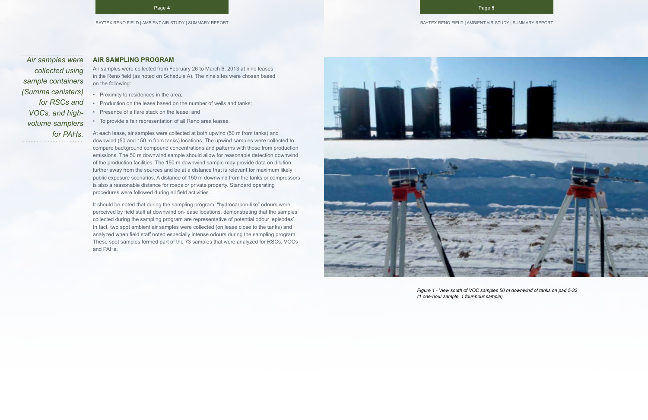#### **AIR SAMPLING PROGRAM**

Air samples were collected from February 26 to March 6, 2013 at nine leases in the Reno field (as noted on Schedule A). The nine sites were chosen based on the following:

- Proximity to residences in the area;
- Production on the lease based on the number of wells and tanks;
- Presence of a flare stack on the lease; and
- To provide a fair representation of all Reno area leases.

At each lease, air samples were collected at both upwind (50 m from tanks) and downwind (50 and 150 m from tanks) locations. The upwind samples were collected to compare background compound concentrations and patterns with those from production emissions. The 50 m downwind sample should allow for reasonable detection downwind of the production facilities. The 150 m downwind sample may provide data on dilution further away from the sources and be at a distance that is relevant for maximum likely public exposure scenarios. A distance of 150 m downwind from the tanks or compressors is also a reasonable distance for roads or private property. Standard operating procedures were followed during all field activities.

It should be noted that during the sampling program, "hydrocarbon-like" odours were perceived by field staff at downwind on-lease locations, demonstrating that the samples collected during the sampling program are representative of potential odour 'episodes'. In fact, two spot ambient air samples were collected (on lease close to the tanks) and analyzed when field staff noted especially intense odours during the sampling program. These spot samples formed part of the 73 samples that were analyzed for RSCs, VOCs and PAHs.



*Figure 1 - View south of VOC samples 50 m downwind of tanks on pad 5-32* 

*(1 one-hour sample, 1 four-hour sample).*

*Air samples were collected using sample containers (Summa canisters) for RSCs and VOCs, and highvolume samplers for PAHs.*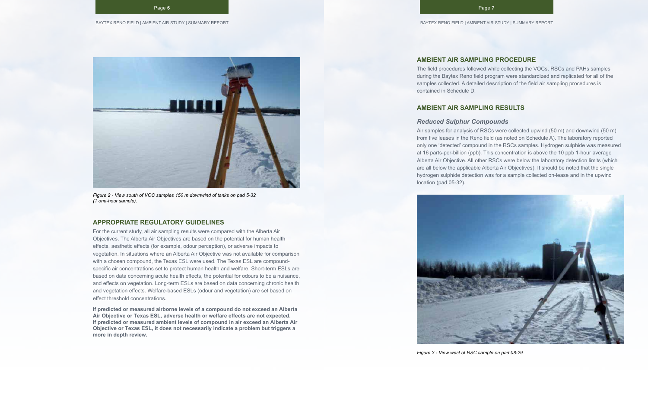

*Figure 2 - View south of VOC samples 150 m downwind of tanks on pad 5-32 (1 one-hour sample).*

#### **APPROPRIATE REGULATORY GUIDELINES**

For the current study, all air sampling results were compared with the Alberta Air Objectives. The Alberta Air Objectives are based on the potential for human health effects, aesthetic effects (for example, odour perception), or adverse impacts to vegetation. In situations where an Alberta Air Objective was not available for comparison with a chosen compound, the Texas ESL were used. The Texas ESL are compoundspecific air concentrations set to protect human health and welfare. Short-term ESLs are based on data concerning acute health effects, the potential for odours to be a nuisance, and effects on vegetation. Long-term ESLs are based on data concerning chronic health and vegetation effects. Welfare-based ESLs (odour and vegetation) are set based on effect threshold concentrations.

**If predicted or measured airborne levels of a compound do not exceed an Alberta Air Objective or Texas ESL, adverse health or welfare effects are not expected. If predicted or measured ambient levels of compound in air exceed an Alberta Air Objective or Texas ESL, it does not necessarily indicate a problem but triggers a more in depth review.**

## **AMBIENT AIR SAMPLING PROCEDURE**

The field procedures followed while collecting the VOCs, RSCs and PAHs samples during the Baytex Reno field program were standardized and replicated for all of the samples collected. A detailed description of the field air sampling procedures is contained in Schedule D.

## **AMBIENT AIR SAMPLING RESULTS**

### *Reduced Sulphur Compounds*

Air samples for analysis of RSCs were collected upwind (50 m) and downwind (50 m) from five leases in the Reno field (as noted on Schedule A). The laboratory reported only one 'detected' compound in the RSCs samples. Hydrogen sulphide was measured at 16 parts-per-billion (ppb). This concentration is above the 10 ppb 1-hour average Alberta Air Objective. All other RSCs were below the laboratory detection limits (which are all below the applicable Alberta Air Objectives). It should be noted that the single hydrogen sulphide detection was for a sample collected on-lease and in the upwind location (pad 05-32).



*Figure 3 - View west of RSC sample on pad 08-29.*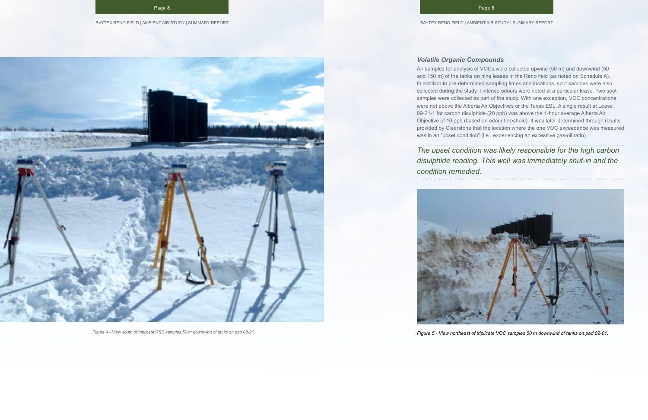*Figure 4 - View south of triplicate RSC samples 50 m downwind of tanks on pad 08-21.*

## *Volatile Organic Compounds*

Air samples for analysis of VOCs were collected upwind (50 m) and downwind (50 and 150 m) of the tanks on nine leases in the Reno field (as noted on Schedule A). In addition to pre-determined sampling times and locations, spot samples were also collected during the study if intense odours were noted at a particular lease. Two spot samples were collected as part of the study. With one exception, VOC concentrations were not above the Alberta Air Objectives or the Texas ESL. A single result at Lease 09-21-1 for carbon disulphide (20 ppb) was above the 1-hour average Alberta Air Objective of 10 ppb (based on odour threshold). It was later determined through results provided by Clearstone that the location where the one VOC exceedance was measured was in an "upset condition" (i.e., experiencing an excessive gas-oil ratio).

*The upset condition was likely responsible for the high carbon disulphide reading. This well was immediately shut-in and the condition remedied.*



*Figure 5 - View northeast of triplicate VOC samples 50 m downwind of tanks on pad 02-01.*

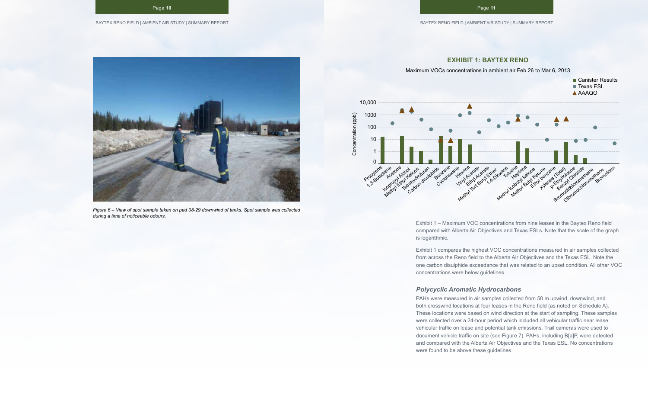#### BAYTEX RENO FIELD | AMBIENT AIR STUDY | SUMMARY REPORT

Page **10**



*Figure 6 – View of spot sample taken on pad 08-29 downwind of tanks. Spot sample was collected during a time of noticeable odours.*



# **EXHIBIT 1: BAYTEX RENO**

Maximum VOCs concentrations in ambient air Feb 26 to Mar 6, 2013

Exhibit 1 – Maximum VOC concentrations from nine leases in the Baytex Reno field compared with Alberta Air Objectives and Texas ESLs. Note that the scale of the graph

is logarithmic.

Exhibit 1 compares the highest VOC concentrations measured in air samples collected from across the Reno field to the Alberta Air Objectives and the Texas ESL. Note the one carbon disulphide exceedance that was related to an upset condition. All other VOC concentrations were below guidelines.

### *Polycyclic Aromatic Hydrocarbons*

PAHs were measured in air samples collected from 50 m upwind, downwind, and both crosswind locations at four leases in the Reno field (as noted on Schedule A). These locations were based on wind direction at the start of sampling. These samples were collected over a 24-hour period which included all vehicular traffic near lease, vehicular traffic on lease and potential tank emissions. Trail cameras were used to document vehicle traffic on site (see Figure 7). PAHs, including B[a]P, were detected and compared with the Alberta Air Objectives and the Texas ESL. No concentrations were found to be above these guidelines.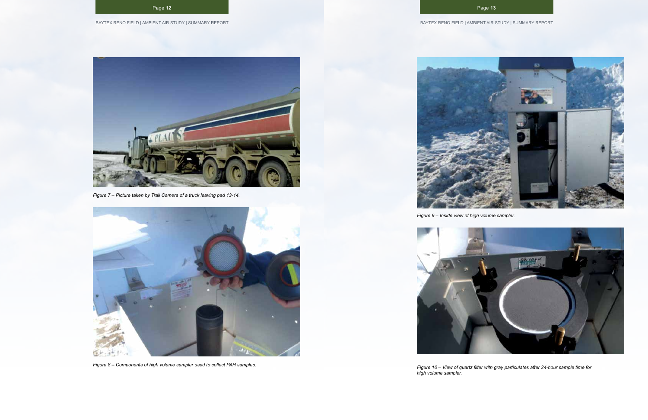

*Figure 7 – Picture taken by Trail Camera of a truck leaving pad 13-14.*



*Figure 8 – Components of high volume sampler used to collect PAH samples.*



*Figure 9 – Inside view of high volume sampler.*

*Figure 10 – View of quartz filter with gray particulates after 24-hour sample time for* 



*high volume sampler.*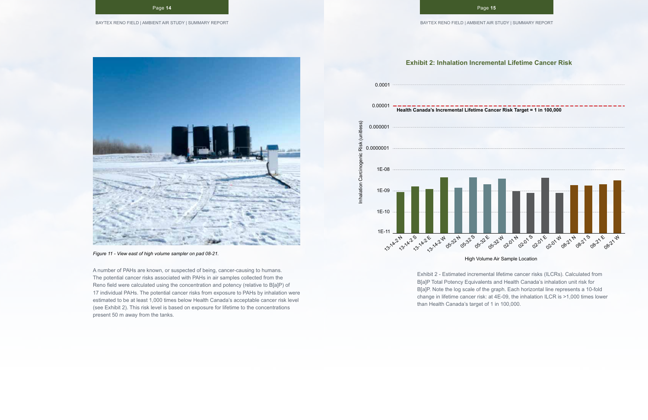

*Figure 11 - View east of high volume sampler on pad 08-21.*

A number of PAHs are known, or suspected of being, cancer-causing to humans. The potential cancer risks associated with PAHs in air samples collected from the Reno field were calculated using the concentration and potency (relative to B[a]P) of 17 individual PAHs. The potential cancer risks from exposure to PAHs by inhalation were estimated to be at least 1,000 times below Health Canada's acceptable cancer risk level (see Exhibit 2). This risk level is based on exposure for lifetime to the concentrations present 50 m away from the tanks.





High Volume Air Sample Location

Exhibit 2 - Estimated incremental lifetime cancer risks (ILCRs). Calculated from B[a]P Total Potency Equivalents and Health Canada's inhalation unit risk for B[a]P. Note the log scale of the graph. Each horizontal line represents a 10-fold change in lifetime cancer risk: at 4E-09, the inhalation ILCR is >1,000 times lower than Health Canada's target of 1 in 100,000.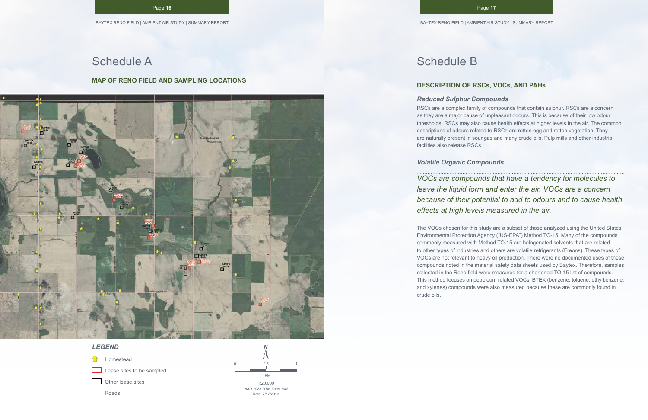#### Page **16**

# Schedule A

#### **MAP OF RENO FIELD AND SAMPLING LOCATIONS**



# *LEGEND*

- Homestead Lease sites to be sampled
- Other lease sites
- Roads

1:20,000 *NAD 1983 UTM Zone 10N* 0 0.5 1 KM 1

Date: 7/17/2013

# Schedule B

## **DESCRIPTION OF RSCs, VOCs, AND PAHs**

*Reduced Sulphur Compounds*

RSCs are a complex family of compounds that contain sulphur. RSCs are a concern as they are a major cause of unpleasant odours. This is because of their low odour thresholds. RSCs may also cause health effects at higher levels in the air. The common descriptions of odours related to RSCs are rotten egg and rotten vegetation. They are naturally present in sour gas and many crude oils. Pulp mills and other industrial facilities also release RSCs.

*Volatile Organic Compounds*

*VOCs are compounds that have a tendency for molecules to leave the liquid form and enter the air. VOCs are a concern because of their potential to add to odours and to cause health effects at high levels measured in the air.* 

The VOCs chosen for this study are a subset of those analyzed using the United States Environmental Protection Agency ("US-EPA") Method TO-15. Many of the compounds commonly measured with Method TO-15 are halogenated solvents that are related to other types of industries and others are volatile refrigerants (Freons). These types of VOCs are not relevant to heavy oil production. There were no documented uses of these compounds noted in the material safety data sheets used by Baytex. Therefore, samples collected in the Reno field were measured for a shortened TO-15 list of compounds. This method focuses on petroleum related VOCs. BTEX (benzene, toluene, ethylbenzene, and xylenes) compounds were also measured because these are commonly found in crude oils.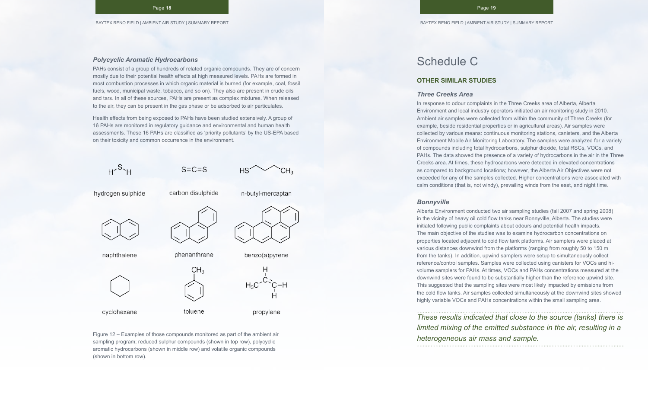#### *Polycyclic Aromatic Hydrocarbons*

PAHs consist of a group of hundreds of related organic compounds. They are of concern mostly due to their potential health effects at high measured levels. PAHs are formed in most combustion processes in which organic material is burned (for example, coal, fossil fuels, wood, municipal waste, tobacco, and so on). They also are present in crude oils and tars. In all of these sources, PAHs are present as complex mixtures. When released to the air, they can be present in the gas phase or be adsorbed to air particulates.

Health effects from being exposed to PAHs have been studied extensively. A group of 16 PAHs are monitored in regulatory guidance and environmental and human health assessments. These 16 PAHs are classified as 'priority pollutants' by the US-EPA based on their toxicity and common occurrence in the environment.



Figure 12 – Examples of those compounds monitored as part of the ambient air sampling program; reduced sulphur compounds (shown in top row), polycyclic aromatic hydrocarbons (shown in middle row) and volatile organic compounds (shown in bottom row).

# Schedule C

## **OTHER SIMILAR STUDIES**

#### *Three Creeks Area*

In response to odour complaints in the Three Creeks area of Alberta, Alberta Environment and local industry operators initiated an air monitoring study in 2010. Ambient air samples were collected from within the community of Three Creeks (for example, beside residential properties or in agricultural areas). Air samples were collected by various means: continuous monitoring stations, canisters, and the Alberta Environment Mobile Air Monitoring Laboratory. The samples were analyzed for a variety of compounds including total hydrocarbons, sulphur dioxide, total RSCs, VOCs, and PAHs. The data showed the presence of a variety of hydrocarbons in the air in the Three Creeks area. At times, these hydrocarbons were detected in elevated concentrations as compared to background locations; however, the Alberta Air Objectives were not exceeded for any of the samples collected. Higher concentrations were associated with calm conditions (that is, not windy), prevailing winds from the east, and night time.

#### *Bonnyville*

Alberta Environment conducted two air sampling studies (fall 2007 and spring 2008) in the vicinity of heavy oil cold flow tanks near Bonnyville, Alberta. The studies were initiated following public complaints about odours and potential health impacts. The main objective of the studies was to examine hydrocarbon concentrations on properties located adjacent to cold flow tank platforms. Air samplers were placed at various distances downwind from the platforms (ranging from roughly 50 to 150 m from the tanks). In addition, upwind samplers were setup to simultaneously collect reference/control samples. Samples were collected using canisters for VOCs and hivolume samplers for PAHs. At times, VOCs and PAHs concentrations measured at the downwind sites were found to be substantially higher than the reference upwind site. This suggested that the sampling sites were most likely impacted by emissions from the cold flow tanks. Air samples collected simultaneously at the downwind sites showed highly variable VOCs and PAHs concentrations within the small sampling area.

*These results indicated that close to the source (tanks) there is limited mixing of the emitted substance in the air, resulting in a heterogeneous air mass and sample.*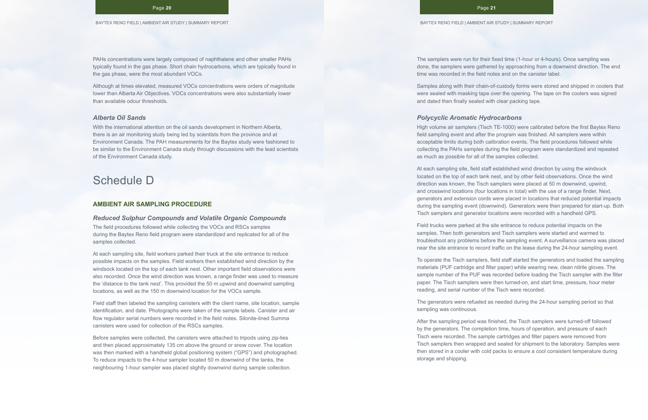PAHs concentrations were largely composed of naphthalene and other smaller PAHs typically found in the gas phase. Short chain hydrocarbons, which are typically found in the gas phase, were the most abundant VOCs.

Although at times elevated, measured VOCs concentrations were orders of magnitude lower than Alberta Air Objectives. VOCs concentrations were also substantially lower than available odour thresholds.

#### *Alberta Oil Sands*

With the international attention on the oil sands development in Northern Alberta, there is an air monitoring study being led by scientists from the province and at Environment Canada. The PAH measurements for the Baytex study were fashioned to be similar to the Environment Canada study through discussions with the lead scientists of the Environment Canada study.

# Schedule D

#### **AMBIENT AIR SAMPLING PROCEDURE**

#### *Reduced Sulphur Compounds and Volatile Organic Compounds*

The field procedures followed while collecting the VOCs and RSCs samples during the Baytex Reno field program were standardized and replicated for all of the samples collected.

At each sampling site, field workers parked their truck at the site entrance to reduce possible impacts on the samples. Field workers then established wind direction by the windsock located on the top of each tank nest. Other important field observations were also recorded. Once the wind direction was known, a range finder was used to measure the 'distance to the tank nest'. This provided the 50 m upwind and downwind sampling locations, as well as the 150 m downwind location for the VOCs sample.

Field staff then labeled the sampling canisters with the client name, site location, sample identification, and date. Photographs were taken of the sample labels. Canister and air flow regulator serial numbers were recorded in the field notes. Silonite-lined Summa canisters were used for collection of the RSCs samples.

Before samples were collected, the canisters were attached to tripods using zip-ties and then placed approximately 135 cm above the ground or snow cover. The location was then marked with a handheld global positioning system ("GPS") and photographed. To reduce impacts to the 4-hour sampler located 50 m downwind of the tanks, the neighbouring 1-hour sampler was placed slightly downwind during sample collection.

The samplers were run for their fixed time (1-hour or 4-hours). Once sampling was done, the samplers were gathered by approaching from a downwind direction. The end time was recorded in the field notes and on the canister label.

Samples along with their chain-of-custody forms were stored and shipped in coolers that were sealed with masking tape over the opening. The tape on the coolers was signed and dated then finally sealed with clear packing tape.

### *Polycyclic Aromatic Hydrocarbons*

High volume air samplers (Tisch TE-1000) were calibrated before the first Baytex Reno field sampling event and after the program was finished. All samplers were within acceptable limits during both calibration events. The field procedures followed while collecting the PAHs samples during the field program were standardized and repeated as much as possible for all of the samples collected.

At each sampling site, field staff established wind direction by using the windsock located on the top of each tank nest, and by other field observations. Once the wind direction was known, the Tisch samplers were placed at 50 m downwind, upwind, and crosswind locations (four locations in total) with the use of a range finder. Next, generators and extension cords were placed in locations that reduced potential impacts during the sampling event (downwind). Generators were then prepared for start-up. Both Tisch samplers and generator locations were recorded with a handheld GPS.

Field trucks were parked at the site entrance to reduce potential impacts on the samples. Then both generators and Tisch samplers were started and warmed to troubleshoot any problems before the sampling event. A surveillance camera was placed near the site entrance to record traffic on the lease during the 24-hour sampling event.

To operate the Tisch samplers, field staff started the generators and loaded the sampling materials (PUF cartridge and filter paper) while wearing new, clean nitrile gloves. The sample number of the PUF was recorded before loading the Tisch sampler with the filter paper. The Tisch samplers were then turned-on, and start time, pressure, hour meter reading, and serial number of the Tisch were recorded.

The generators were refueled as needed during the 24-hour sampling period so that sampling was continuous.

After the sampling period was finished, the Tisch samplers were turned-off followed by the generators. The completion time, hours of operation, and pressure of each Tisch were recorded. The sample cartridges and filter papers were removed from Tisch samplers then wrapped and sealed for shipment to the laboratory. Samples were then stored in a cooler with cold packs to ensure a cool consistent temperature during storage and shipping.